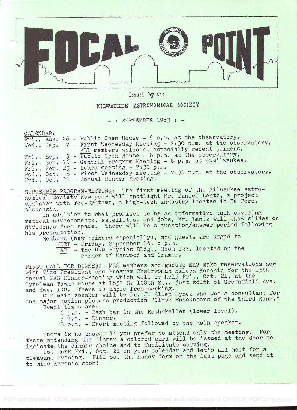

Issued by the

## MILWAUKEE ASTRONOMICAL SOCIETY

 $-$ : SEPTEMBER 1983 :  $-$ 

CALENDAR:

|  | $Fri., Aug. 26$ - Public Open House - 8 p.m. at the observatory.         |
|--|--------------------------------------------------------------------------|
|  | Wed., Sep. 7 - First Wednesday Meeting - 7:30 p.m. at the observatory.   |
|  | ALL members welcome, especially recent joiners.                          |
|  | Fri., Sep. 9 - Public Open House - 8 p.m. at the observatory.            |
|  | Fri., Sep. 16 - General Program-Meeting - 8 p.m. at UWMilwaukee.         |
|  | Fri., Sep. 23 - Board meeting - 7:30 $p_{\ast}m_{\ast}$                  |
|  | Wed., Oct. $5$ - First Wednesday meeting - 7:30 p.m. at the observatory. |
|  | Fri., Oct. 21 - Annual Dinner Meeting.                                   |
|  |                                                                          |

SEPTEMBER PROGRAM-MEETING: The first meeting of the Milwaukee Astronomical Society new year will spotlight Mr. Daniel Lentz, a project engineer with Tec-Systems, a high-tech industry located in De Pere,

Wisconsin.<br>In addition to what promises to be an informative talk covering medical advancements, satellites, and jobs, Mr. Lentz will show slides on dividends from space. There will be a question/answer period following his presentation.

Members (new joiners especially), and guests are urged to

MEET - Friday, September 16, 8 p.m.

AT - The UWM Physics Bldg., Room 133, located on the corner of Kenwood and Cramer.

FIRST CALL FOR DINNERI MAS members and guests may make reservations now with Vice President and Program Chairwoman Eileen Korenic for the 15th annual MAS Dinner-Meeting which will be held Fri., Oct. 21, at the Tyrolean Towne House at 1657 S. 108th St., just south of Greenfield Ave. and Hwy. 100. There is ample free parking.

Our main speaker will be Dr. J. Allen Hynek who was a consultant for the major motion picture production "Close Encounters of the Third Kind." Event times ares

<sup>6</sup>p.m. - Cash bar in the Rathskeller (lower level).

<sup>7</sup>p.m. - Dinner,

8 p.m. - Short meeting followed by the main speaker.

There is no charge if you prefer to attend only the meeting. For those attending the dinner a colored card will be issued at the door to indicate the dinner choice and to facilitate serving.

So, mark Fri., Oct. 21 on your calendar and let's all meet for <sup>a</sup> pleasant evening. Fill out the handy form on the last page and send it to Miss Korenic soon!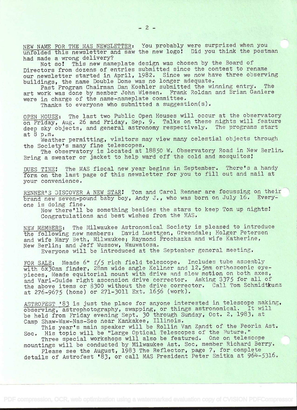NEW NAME FOR THE MAS NEWSLETTER: You probably were surprized when you unfolded this newsletter and saw the new logo! Did you think the postman had made a wrong delivery?

Not so! This new nameplate design was chosen by the Board of Directors from dozens of entries submitted since the contest to rename our newsletter started in April, 1982. Since we now have three observing buildings, the name Double Dome was no longer adequate.

Past Program Chairman Dan Koehler submitted the winning entry. The art work was done by member John Wiesen. Frank Roldan and Brian Ganiere were in charge of the name-nameplate committee.

Thanks to everyone who submitted a suggestion(s).

OPEN HOUSE: The last two Public Open Houses will occur at the observatory on Friday, Aug. 26 and Friday, Sep. 9. Talks on these nights will feature deep sky objects, and general astronomy respectively. The programs start<br>at 8 p.m. at 8 p.m.

Weather permitting, visitors may view many celestial objects through the Society's many fine telescopes..

The observatory is located at 18850 W. Observatory Road in New Berlin. Bring a sweater or jacket to help ward off the cold and mosquitos!

DUES TIME: The MAS fiscal new year begins in September. There's a handy form on the last page of this newsletter for you to fill out and mail at your convenience.

RENNER'S DISCOVER A NEW STAR! Tom and Carol Renner are focussing on their brand new seven-pound baby boy, Andy J., who was born on July 16. Everyone is doing fine.

Now there'll be something besides the stars to keep Tom up nights Congratulations and best wishes from the MAS.

NEW MEMBERS: The Milwaukee Astronomical Society is pleased to introduce the following new members: David Luettgen, Greendale; Holger Petersen and wife Mary Beth, Milwaukee; Raymond Prochazka and wife Katherine, New Berlin; and Jeff Wussow, Wauwatosa.

Everyone will be introduced at the September general meeting.

FOR SALE: Meade 6" f/5 rich field telescope. Includes tube assembly with 6x30mm finder, 28mm wide angle Kellner and 12.5mm orthoscopic eyepieces, Meade equitorial mount with drive and slow motion on both axes, and Vari-Guide right ascension drive corrector. Asking \$375 for all of the above items or \$300 without the drive corrector. Call Tom Schmidtkunz at 276-9675 (home) or 271-3011 Ext. 1656 (work).

.ASTROFEST '83 is just the place for anyone interested in telescope making, observing, astrophotography, swapping, or things astronomical. It will be held from Friday evening Sept. 30 through Sunday, Oct. 2, 1983, at Camp Shaw-Waw-Nas-See near Kankakee, Illinois.

This year's main speaker will be Rollin Van Zandt of the Peoria Ast. Soc. His topic will be "Large Optical Telescopes of the Future."

Three special workshops will also be featured. One on telescope mountings will be conducted by Milwaukee Ast. Soc. member Richard Berry.

Please see the August, 1983 The Reflector, page 7, for complete details of Astrofest '83, or call MAS President Peter Smitka at 964-5316.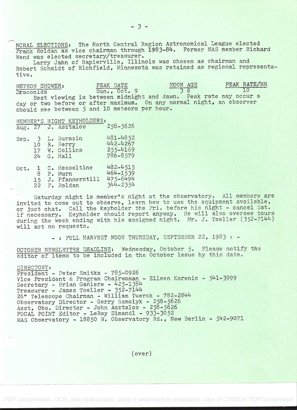NCRAL ELECTIONS: The North Central Region Astronomical League elected Frank Roldan as vice chairman through 1983-84. Former MAS member Richard Wend was elected secretary/treasurer.

Larry Jahn of Napierville, Illinois was chosen as chairman and Robert Schmidt of Richfield, Minnesota was retained as regional representative.

METEOR SHOWER: PEAK DATE MOON AGE PEAK RATE/HR
Draconids Sun., Oct. 9 3 d 10 Draconids Sun., Oct. 9 3 d 10 Best viewing is between midnight and dawn. Peak rate may occur <sup>a</sup> day or two before or after maximum. On any normal night, an observer should see between 5 and 10 meteors per hour.

MEMBER'S NIGHT KEYHOLDERS:<br>Aug. 27 J. Asztalos 258-5626 J. Asztalos Sep. 3 L. Burazin 481-4852<br>10 R. Berry 442-4267 10 R. Berry 442-4267<br>17 W. Collins 255-4169 17 W. Collins<br>24 G. Hall 786-8579 Oct. 1 C. Hesseltine 482-4515<br>8 P. Murn 464-1539 8 P. Murn 464-1539  $15$  J. Pfannerstill  $475-6494$ 15 J. Pfannerstill 475-6494<br>22 F. Roldan 344-2354

Saturday night is member's night at the observatory. All members are invited to come out to observe, learn how to use the equipment available, or just chat. Call the keyholder the Fri if necessary. Keyholder should report an during the week ending with his assigned night. Mr. J. Toeller (352-7144) will act on requests. r the Fri. before his night - cancel Sat. report anyway. He will also oversee tours

- : FULL HARVEST MOON THURSDAY, SEPTEMBER 22, 1983 : -

OCTOBER NEWSLETTER DEADLINE: Wednesday, October 5. Please notify the editor of items to be included in the October issue by this date.

## DIRECTORY:

President - Peter Smitka - 785-0926 Vice President & Program Chairwoman - Eileen Korenic - 541-3999 Secretary - Brian Ganiere - 425-1384 Treasurer - James Toeller - 352-7144 26" Telescope Chairman - William Tuerck - 782-2844 Observatory Director - Gerry Samolyk - 258-5626 Asst. Obs. Director - John Asztalos - 258-5626 FOCAL POINT Editor - LeRoy Simandi - 933-3052 MAS Observatory - 18850 W. Observatory Rd., New Berlin - 542-9071

(over)